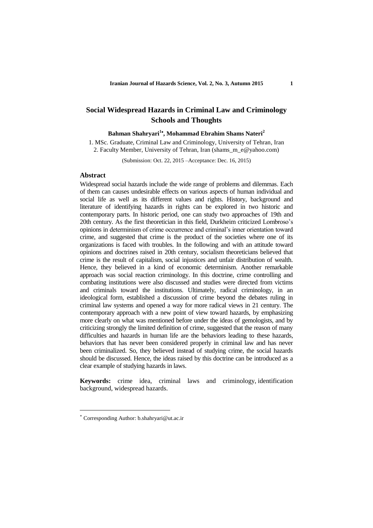# **Social Widespread Hazards in Criminal Law and Criminology Schools and Thoughts**

### **Bahman Shahryari<sup>1</sup> , Mohammad Ebrahim Shams Nateri<sup>2</sup>**

1. MSc. Graduate, Criminal Law and Criminology, University of Tehran, Iran 2. Faculty Member, University of Tehran, Iran (shams\_m\_e@yahoo.com)

(Submission: Oct. 22, 2015 –Acceptance: Dec. 16, 2015)

### **Abstract**

Widespread social hazards include the wide range of problems and dilemmas. Each of them can causes undesirable effects on various aspects of human individual and social life as well as its different values and rights. History, background and literature of identifying hazards in rights can be explored in two historic and contemporary parts. In historic period, one can study two approaches of 19th and 20th century. As the first theoretician in this field, Durkheim criticized Lombroso's opinions in determinism of crime occurrence and criminal's inner orientation toward crime, and suggested that crime is the product of the societies where one of its organizations is faced with troubles. In the following and with an attitude toward opinions and doctrines raised in 20th century, socialism theoreticians believed that crime is the result of capitalism, social injustices and unfair distribution of wealth. Hence, they believed in a kind of economic determinism. Another remarkable approach was social reaction criminology. In this doctrine, crime controlling and combating institutions were also discussed and studies were directed from victims and criminals toward the institutions. Ultimately, radical criminology, in an ideological form, established a discussion of crime beyond the debates ruling in criminal law systems and opened a way for more radical views in 21 century. The contemporary approach with a new point of view toward hazards, by emphasizing more clearly on what was mentioned before under the ideas of gemologists, and by criticizing strongly the limited definition of crime, suggested that the reason of many difficulties and hazards in human life are the behaviors leading to these hazards, behaviors that has never been considered properly in criminal law and has never been criminalized. So, they believed instead of studying crime, the social hazards should be discussed. Hence, the ideas raised by this doctrine can be introduced as a clear example of studying hazards in laws.

**Keywords:** crime idea, criminal laws and criminology, identification background, widespread hazards.

**.** 

Corresponding Author: b.shahryari@ut.ac.ir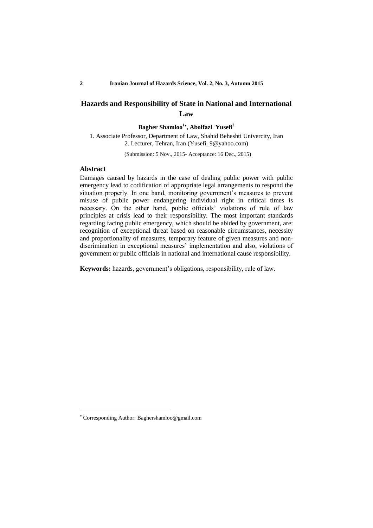## **Hazards and Responsibility of State in National and International Law**

#### **Bagher Shamloo<sup>1</sup> , Abolfazl Yusefi<sup>2</sup>**

1. Associate Professor, Department of Law, Shahid Beheshti Univercity, Iran 2. Lecturer, Tehran, Iran (Yusefi\_9@yahoo.com)

(Submission: 5 Nov., 2015- Acceptance: 16 Dec., 2015)

#### **Abstract**

1

Damages caused by hazards in the case of dealing public power with public emergency lead to codification of appropriate legal arrangements to respond the situation properly. In one hand, monitoring government's measures to prevent misuse of public power endangering individual right in critical times is necessary. On the other hand, public officials' violations of rule of law principles at crisis lead to their responsibility. The most important standards regarding facing public emergency, which should be abided by government, are: recognition of exceptional threat based on reasonable circumstances, necessity and proportionality of measures, temporary feature of given measures and nondiscrimination in exceptional measures' implementation and also, violations of government or public officials in national and international cause responsibility.

**Keywords:** hazards, government's obligations, responsibility, rule of law.

Corresponding Author: Baghershamloo@gmail.com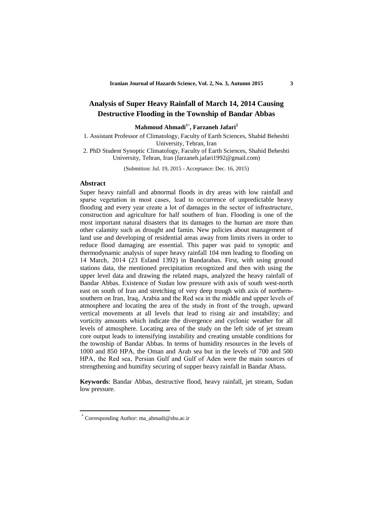## **Analysis of Super Heavy Rainfall of March 14, 2014 Causing Destructive Flooding in the Township of Bandar Abbas**

**Mahmoud Ahmadi<sup>1</sup>**\* **, Farzaneh Jafari<sup>2</sup>**

1. Assistant Professor of Climatology, Faculty of Earth Sciences, Shahid Beheshti University, Tehran, Iran

2. PhD Student Synoptic Climatology, Faculty of Earth Sciences, Shahid Beheshti University, Tehran, Iran (farzaneh.jafari1992@gmail.com)

(Submition: Jul. 19, 2015 - Acceptance: Dec. 16, 2015)

#### **Abstract**

Super heavy rainfall and abnormal floods in dry areas with low rainfall and sparse vegetation in most cases, lead to occurrence of unpredictable heavy flooding and every year create a lot of damages in the sector of infrastructure, construction and agriculture for half southern of Iran. Flooding is one of the most important natural disasters that its damages to the human are more than other calamity such as drought and famin. New policies about management of land use and developing of residential areas away from limits rivers in order to reduce flood damaging are essential. This paper was paid to synoptic and thermodynamic analysis of super heavy rainfall 104 mm leading to flooding on 14 March' 2014 (23 Esfand 1392) in Bandarabas. First, with using ground stations data, the mentioned precipitation recognized and then with using the upper level data and drawing the related maps, analyzed the heavy rainfall of Bandar Abbas. Existence of Sudan low pressure with axis of south west-north east on south of Iran and stretching of very deep trough with axis of northernsouthern on Iran, Iraq, Arabia and the Red sea in the middle and upper levels of atmosphere and locating the area of the study in front of the trough, upward vertical movements at all levels that lead to rising air and instability; and vorticity amounts which indicate the divergence and cyclonic weather for all levels of atmosphere. Locating area of the study on the left side of jet stream core output leads to intensifying instability and creating unstable conditions for the township of Bandar Abbas. In terms of humidity resources in the levels of 1000 and 850 HPA, the Oman and Arab sea but in the levels of 700 and 500 HPA, the Red sea, Persian Gulf and Gulf of Aden were the main sources of strengthening and humifity securing of supper heavy rainfall in Bandar Abass.

**Keywords**: Bandar Abbas, destructive flood, heavy rainfall, jet stream, Sudan low pressure.

1

**<sup>\*</sup>** Corresponding Author: ma\_ahmadi@sbu.ac.ir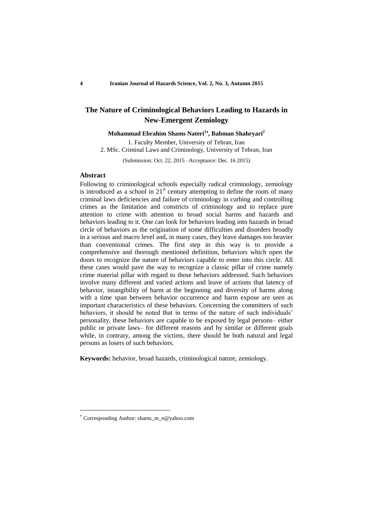# **The Nature of Criminological Behaviors Leading to Hazards in New-Emergent Zemiology**

#### **Mohammad Ebrahim Shams Nateri<sup>1</sup> , Bahman Shahryari<sup>2</sup>**

1. Faculty Member, University of Tehran, Iran 2. MSc. Criminal Laws and Criminology, University of Tehran, Iran

(Submission: Oct. 22, 2015 –Acceptance: Dec. 16 2015)

### **Abstract**

Following to criminological schools especially radical criminology, zemiology is introduced as a school in  $21<sup>st</sup>$  century attempting to define the roots of many criminal laws deficiencies and failure of criminology in curbing and controlling crimes as the limitation and constricts of criminology and to replace pure attention to crime with attention to broad social harms and hazards and behaviors leading to it. One can look for behaviors leading into hazards in broad circle of behaviors as the origination of some difficulties and disorders broadly in a serious and macro level and, in many cases, they leave damages too heavier than conventional crimes. The first step in this way is to provide a comprehensive and thorough mentioned definition, behaviors which open the doors to recognize the nature of behaviors capable to enter into this circle. All these cases would pave the way to recognize a classic pillar of crime namely crime material pillar with regard to those behaviors addressed. Such behaviors involve many different and varied actions and leave of actions that latency of behavior, intangibility of harm at the beginning and diversity of harms along with a time span between behavior occurrence and harm expose are seen as important characteristics of these behaviors. Concerning the committers of such behaviors, it should be noted that in terms of the nature of such individuals' personality, these behaviors are capable to be exposed by legal persons– either public or private laws– for different reasons and by similar or different goals while, in contrary, among the victims, there should be both natural and legal persons as losers of such behaviors.

**Keywords:** behavior, broad hazards, criminological nature, zemiology.

**.** 

Corresponding Author: shams\_m\_e@yahoo.com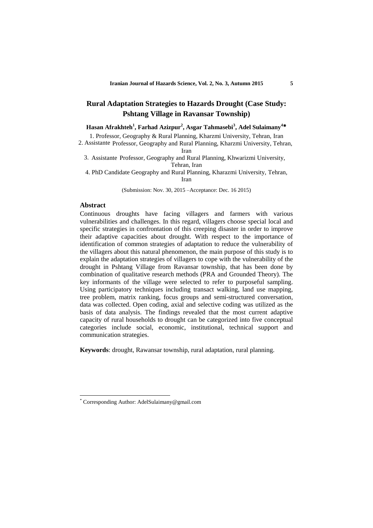## **Rural Adaptation Strategies to Hazards Drought (Case Study: Pshtang Village in Ravansar Township)**

**Hasan Afrakhteh<sup>1</sup> , Farhad Azizpur<sup>2</sup> , Asgar Tahmasebi<sup>3</sup> , Adel Sulaimany<sup>4</sup>**

1. Professor, Geography & Rural Planning, Kharzmi University, Tehran, Iran

2. Assistante Professor, Geography and Rural Planning, Kharzmi University, Tehran, Iran

3. Assistante Professor, Geography and Rural Planning, Khwarizmi University, Tehran, Iran

4. PhD Candidate Geography and Rural Planning, Kharazmi University, Tehran, Iran

(Submission: Nov. 30, 2015 –Acceptance: Dec. 16 2015)

#### **Abstract**

1

Continuous droughts have facing villagers and farmers with various vulnerabilities and challenges. In this regard, villagers choose special local and specific strategies in confrontation of this creeping disaster in order to improve their adaptive capacities about drought. With respect to the importance of identification of common strategies of adaptation to reduce the vulnerability of the villagers about this natural phenomenon, the main purpose of this study is to explain the adaptation strategies of villagers to cope with the vulnerability of the drought in Pshtang Village from Ravansar township, that has been done by combination of qualitative research methods (PRA and Grounded Theory). The key informants of the village were selected to refer to purposeful sampling. Using participatory techniques including transact walking, land use mapping, tree problem, matrix ranking, focus groups and semi-structured conversation, data was collected. Open coding, axial and selective coding was utilized as the basis of data analysis. The findings revealed that the most current adaptive capacity of rural households to drought can be categorized into five conceptual categories include social, economic, institutional, technical support and communication strategies.

**Keywords**: drought, Rawansar township, rural adaptation, rural planning.

<sup>\*</sup> Corresponding Author: AdelSulaimany@gmail.com